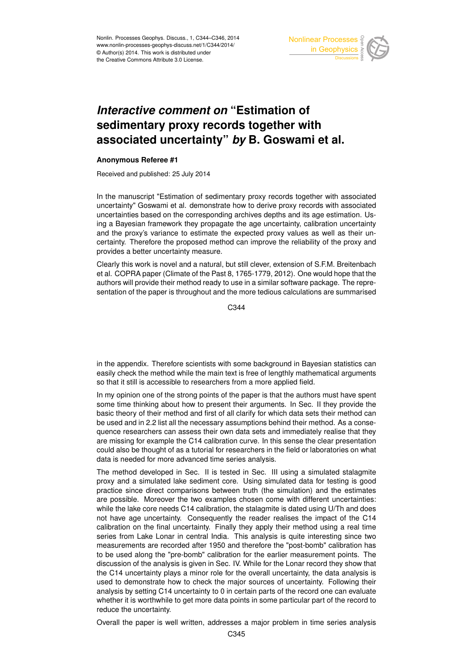

## *Interactive comment on* **"Estimation of sedimentary proxy records together with associated uncertainty"** *by* **B. Goswami et al.**

## **Anonymous Referee #1**

Received and published: 25 July 2014

In the manuscript "Estimation of sedimentary proxy records together with associated uncertainty" Goswami et al. demonstrate how to derive proxy records with associated uncertainties based on the corresponding archives depths and its age estimation. Using a Bayesian framework they propagate the age uncertainty, calibration uncertainty and the proxy's variance to estimate the expected proxy values as well as their uncertainty. Therefore the proposed method can improve the reliability of the proxy and provides a better uncertainty measure.

Clearly this work is novel and a natural, but still clever, extension of S.F.M. Breitenbach et al. COPRA paper (Climate of the Past 8, 1765-1779, 2012). One would hope that the authors will provide their method ready to use in a similar software package. The representation of the paper is throughout and the more tedious calculations are summarised

C<sub>344</sub>

in the appendix. Therefore scientists with some background in Bayesian statistics can easily check the method while the main text is free of lengthly mathematical arguments so that it still is accessible to researchers from a more applied field.

In my opinion one of the strong points of the paper is that the authors must have spent some time thinking about how to present their arguments. In Sec. II they provide the basic theory of their method and first of all clarify for which data sets their method can be used and in 2.2 list all the necessary assumptions behind their method. As a consequence researchers can assess their own data sets and immediately realise that they are missing for example the C14 calibration curve. In this sense the clear presentation could also be thought of as a tutorial for researchers in the field or laboratories on what data is needed for more advanced time series analysis.

The method developed in Sec. II is tested in Sec. III using a simulated stalagmite proxy and a simulated lake sediment core. Using simulated data for testing is good practice since direct comparisons between truth (the simulation) and the estimates are possible. Moreover the two examples chosen come with different uncertainties: while the lake core needs C14 calibration, the stalagmite is dated using U/Th and does not have age uncertainty. Consequently the reader realises the impact of the C14 calibration on the final uncertainty. Finally they apply their method using a real time series from Lake Lonar in central India. This analysis is quite interesting since two measurements are recorded after 1950 and therefore the "post-bomb" calibration has to be used along the "pre-bomb" calibration for the earlier measurement points. The discussion of the analysis is given in Sec. IV. While for the Lonar record they show that the C14 uncertainty plays a minor role for the overall uncertainty, the data analysis is used to demonstrate how to check the major sources of uncertainty. Following their analysis by setting C14 uncertainty to 0 in certain parts of the record one can evaluate whether it is worthwhile to get more data points in some particular part of the record to reduce the uncertainty.

Overall the paper is well written, addresses a major problem in time series analysis